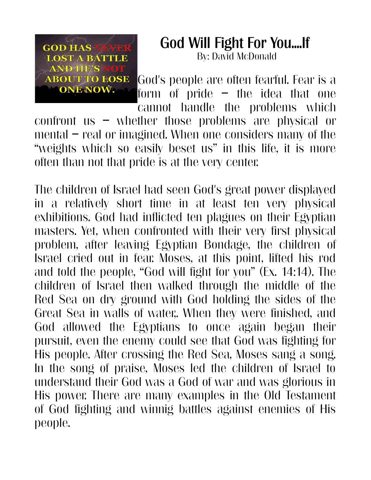

## God Will Fight For You....If By: David McDonald

God's people are often fearful. Fear is a form of pride – the idea that one cannot handle the problems which

confront us – whether those problems are physical or mental – real or imagined. When one considers many of the "weights which so easily beset us" in this life, it is more often than not that pride is at the very center.

The children of Israel had seen God's great power displayed in a relatively short time in at least ten very physical exhibitions. God had inflicted ten plagues on their Egyptian masters. Yet, when confronted with their very first physical problem, after leaving Egyptian Bondage, the children of Israel cried out in fear. Moses, at this point, lifted his rod and told the people, "God will fight for you" (Ex. 14:14). The children of Israel then walked through the middle of the Red Sea on dry ground with God holding the sides of the Great Sea in walls of water,. When they were finished, and God allowed the Egyptians to once again began their pursuit, even the enemy could see that God was fighting for His people. After crossing the Red Sea, Moses sang a song. In the song of praise, Moses led the children of Israel to understand their God was a God of war and was glorious in His power. There are many examples in the Old Testament of God fighting and winnig battles against enemies of His people.